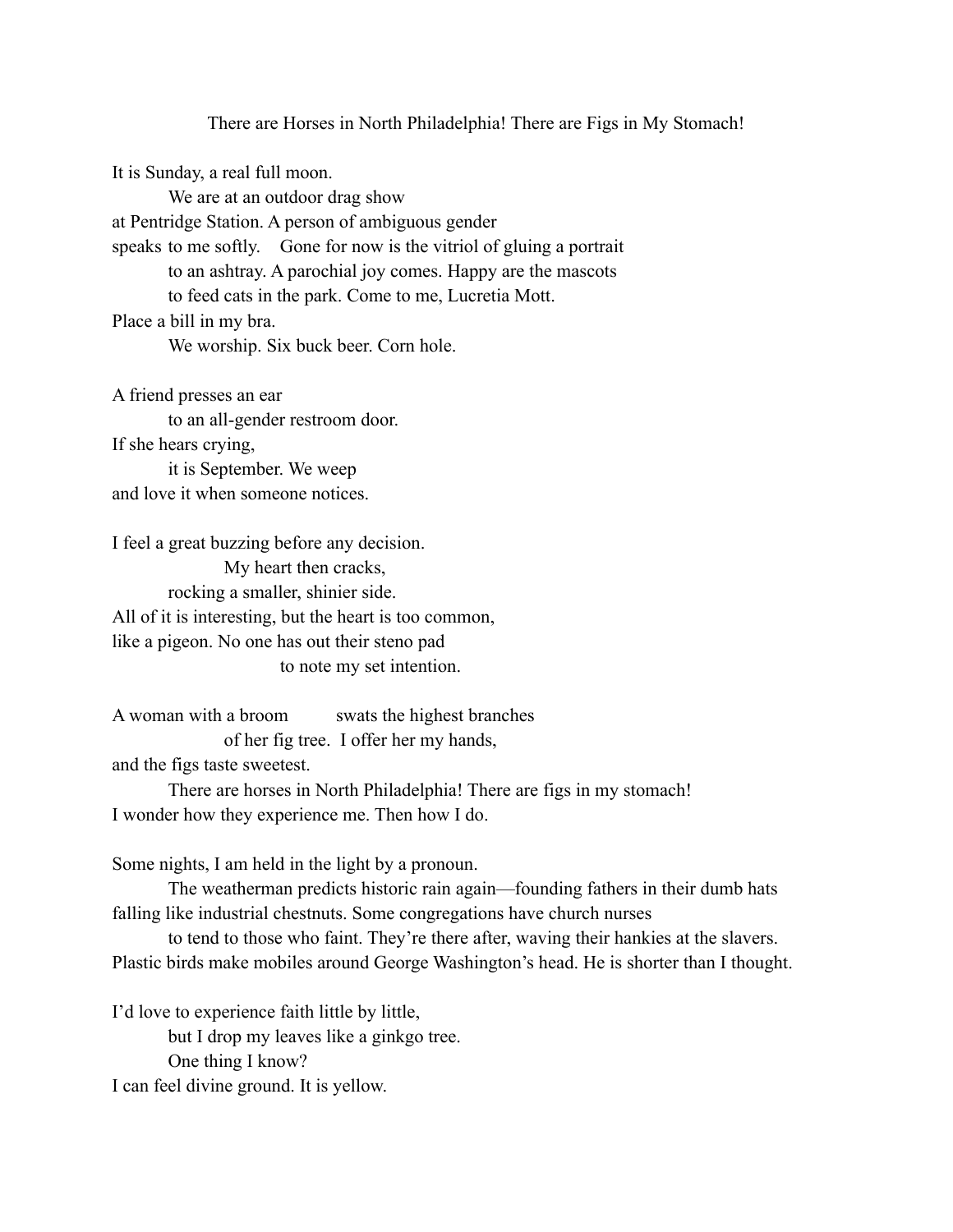There are Horses in North Philadelphia! There are Figs in My Stomach! It is Sunday, a real full moon. We are at an outdoor drag show at Pentridge Station. A person of ambiguous gender speaks to me softly. Gone for now is the vitriol of gluing a portrait to an ashtray. A parochial joy comes. Happy are the mascots to feed cats in the park. Come to me, Lucretia Mott. Place a bill in my bra. We worship. Six buck beer. Corn hole.

A friend presses an ear to an all-gender restroom door. If she hears crying, it is September. We weep and love it when someone notices.

I feel a great buzzing before any decision. My heart then cracks, rocking a smaller, shinier side. All of it is interesting, but the heart is too common, like a pigeon. No one has out their steno pad to note my set intention.

A woman with a broom swats the highest branches of her fig tree. I offer her my hands, and the figs taste sweetest. There are horses in North Philadelphia! There are figs in my stomach! I wonder how they experience me. Then how I do.

Some nights, I am held in the light by a pronoun.

The weatherman predicts historic rain again—founding fathers in their dumb hats falling like industrial chestnuts. Some congregations have church nurses

to tend to those who faint. They're there after, waving their hankies at the slavers. Plastic birds make mobiles around George Washington's head. He is shorter than I thought.

I'd love to experience faith little by little, but I drop my leaves like a ginkgo tree. One thing I know? I can feel divine ground. It is yellow.